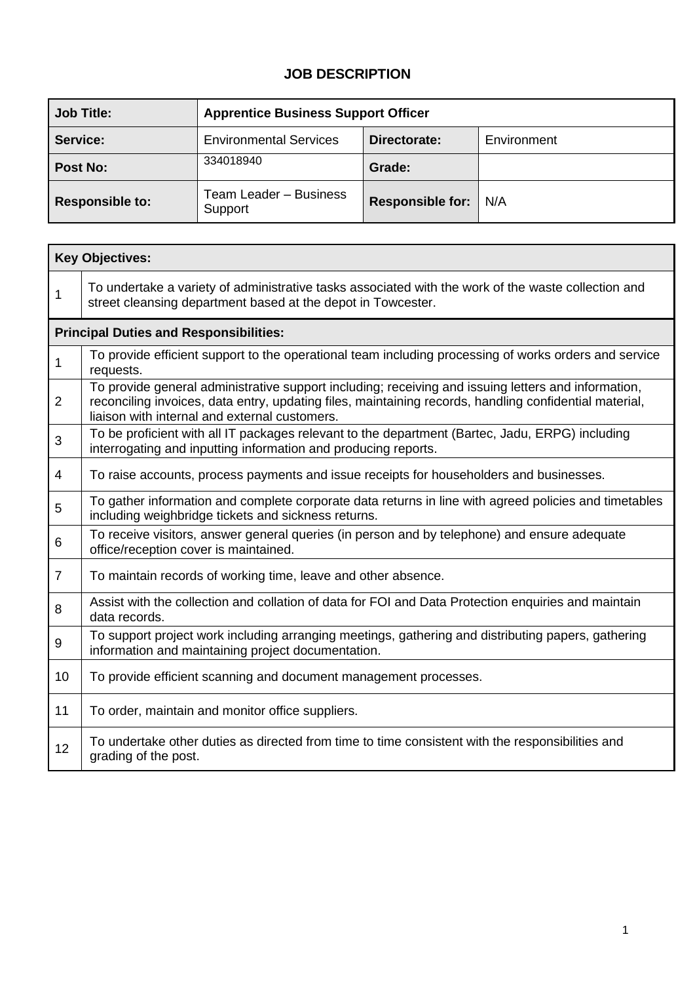## **JOB DESCRIPTION**

| <b>Job Title:</b>      | <b>Apprentice Business Support Officer</b> |                         |             |  |  |  |  |
|------------------------|--------------------------------------------|-------------------------|-------------|--|--|--|--|
| Service:               | <b>Environmental Services</b>              | Directorate:            | Environment |  |  |  |  |
| <b>Post No:</b>        | 334018940                                  | Grade:                  |             |  |  |  |  |
| <b>Responsible to:</b> | Team Leader - Business<br>Support          | <b>Responsible for:</b> | N/A         |  |  |  |  |

|                | <b>Key Objectives:</b>                                                                                                                                                                                                                                         |  |  |  |  |  |
|----------------|----------------------------------------------------------------------------------------------------------------------------------------------------------------------------------------------------------------------------------------------------------------|--|--|--|--|--|
| 1              | To undertake a variety of administrative tasks associated with the work of the waste collection and<br>street cleansing department based at the depot in Towcester.                                                                                            |  |  |  |  |  |
|                | <b>Principal Duties and Responsibilities:</b>                                                                                                                                                                                                                  |  |  |  |  |  |
| 1              | To provide efficient support to the operational team including processing of works orders and service<br>requests.                                                                                                                                             |  |  |  |  |  |
| $\overline{2}$ | To provide general administrative support including; receiving and issuing letters and information,<br>reconciling invoices, data entry, updating files, maintaining records, handling confidential material,<br>liaison with internal and external customers. |  |  |  |  |  |
| 3              | To be proficient with all IT packages relevant to the department (Bartec, Jadu, ERPG) including<br>interrogating and inputting information and producing reports.                                                                                              |  |  |  |  |  |
| 4              | To raise accounts, process payments and issue receipts for householders and businesses.                                                                                                                                                                        |  |  |  |  |  |
| 5              | To gather information and complete corporate data returns in line with agreed policies and timetables<br>including weighbridge tickets and sickness returns.                                                                                                   |  |  |  |  |  |
| 6              | To receive visitors, answer general queries (in person and by telephone) and ensure adequate<br>office/reception cover is maintained.                                                                                                                          |  |  |  |  |  |
| $\overline{7}$ | To maintain records of working time, leave and other absence.                                                                                                                                                                                                  |  |  |  |  |  |
| 8              | Assist with the collection and collation of data for FOI and Data Protection enquiries and maintain<br>data records.                                                                                                                                           |  |  |  |  |  |
| 9              | To support project work including arranging meetings, gathering and distributing papers, gathering<br>information and maintaining project documentation.                                                                                                       |  |  |  |  |  |
| 10             | To provide efficient scanning and document management processes.                                                                                                                                                                                               |  |  |  |  |  |
| 11             | To order, maintain and monitor office suppliers.                                                                                                                                                                                                               |  |  |  |  |  |
| 12             | To undertake other duties as directed from time to time consistent with the responsibilities and<br>grading of the post.                                                                                                                                       |  |  |  |  |  |